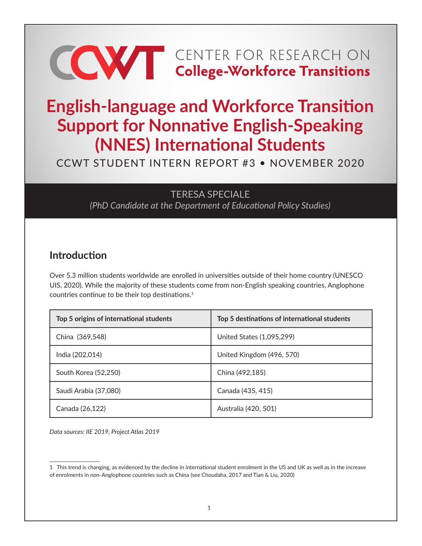# **CONTER FOR RESEARCH ON College-Workforce Transitions**

# **English-language and Workforce Transition Support for Nonnative English-Speaking (NNES) International Students**

CCWT STUDENT INTERN REPORT #3 • NOVEMBER 2020

#### TERESA SPECIALE

*(PhD Candidate at the Department of Educational Policy Studies)*

### **Introduction**

Over 5.3 million students worldwide are enrolled in universities outside of their home country (UNESCO UIS, 2020). While the majority of these students come from non-English speaking countries, Anglophone countries continue to be their top destinations.<sup>1</sup>

| Top 5 origins of international students | Top 5 destinations of international students |
|-----------------------------------------|----------------------------------------------|
| China (369,548)                         | United States (1,095,299)                    |
| India (202,014)                         | United Kingdom (496, 570)                    |
| South Korea (52,250)                    | China (492,185)                              |
| Saudi Arabia (37,080)                   | Canada (435, 415)                            |
| Canada (26,122)                         | Australia (420, 501)                         |

*Data sources: IIE 2019, Project Atlas 2019*

<sup>1</sup> This trend is changing, as evidenced by the decline in international student enrolment in the US and UK as well as in the increase of enrolments in non-Anglophone countries such as China (see Choudaha, 2017 and Tian & Liu, 2020)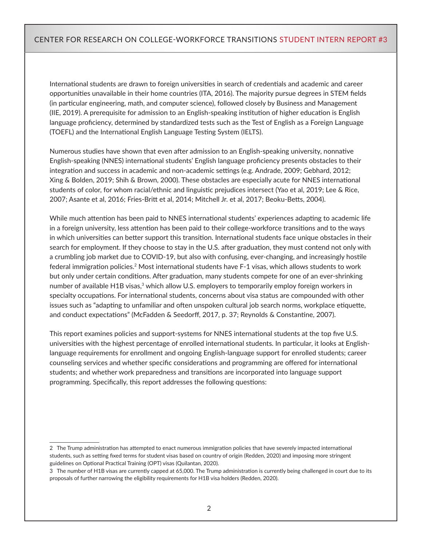International students are drawn to foreign universities in search of credentials and academic and career opportunities unavailable in their home countries (ITA, 2016). The majority pursue degrees in STEM fields (in particular engineering, math, and computer science), followed closely by Business and Management (IIE, 2019). A prerequisite for admission to an English-speaking institution of higher education is English language proficiency, determined by standardized tests such as the Test of English as a Foreign Language (TOEFL) and the International English Language Testing System (IELTS).

Numerous studies have shown that even after admission to an English-speaking university, nonnative English-speaking (NNES) international students' English language proficiency presents obstacles to their integration and success in academic and non-academic settings (e.g. Andrade, 2009; Gebhard, 2012; Xing & Bolden, 2019; Shih & Brown, 2000). These obstacles are especially acute for NNES international students of color, for whom racial/ethnic and linguistic prejudices intersect (Yao et al, 2019; Lee & Rice, 2007; Asante et al, 2016; Fries-Britt et al, 2014; Mitchell Jr. et al, 2017; Beoku-Betts, 2004).

While much attention has been paid to NNES international students' experiences adapting to academic life in a foreign university, less attention has been paid to their college-workforce transitions and to the ways in which universities can better support this transition. International students face unique obstacles in their search for employment. If they choose to stay in the U.S. after graduation, they must contend not only with a crumbling job market due to COVID-19, but also with confusing, ever-changing, and increasingly hostile federal immigration policies.2 Most international students have F-1 visas, which allows students to work but only under certain conditions. After graduation, many students compete for one of an ever-shrinking number of available H1B visas,<sup>3</sup> which allow U.S. employers to temporarily employ foreign workers in specialty occupations. For international students, concerns about visa status are compounded with other issues such as "adapting to unfamiliar and often unspoken cultural job search norms, workplace etiquette, and conduct expectations" (McFadden & Seedorff, 2017, p. 37; Reynolds & Constantine, 2007).

This report examines policies and support-systems for NNES international students at the top five U.S. universities with the highest percentage of enrolled international students. In particular, it looks at Englishlanguage requirements for enrollment and ongoing English-language support for enrolled students; career counseling services and whether specific considerations and programming are offered for international students; and whether work preparedness and transitions are incorporated into language support programming. Specifically, this report addresses the following questions:

<sup>2</sup> The Trump administration has attempted to enact numerous immigration policies that have severely impacted international students, such as setting fixed terms for student visas based on country of origin (Redden, 2020) and imposing more stringent guidelines on Optional Practical Training (OPT) visas (Quilantan, 2020).

<sup>3</sup> The number of H1B visas are currently capped at 65,000. The Trump administration is currently being challenged in court due to its proposals of further narrowing the eligibility requirements for H1B visa holders (Redden, 2020).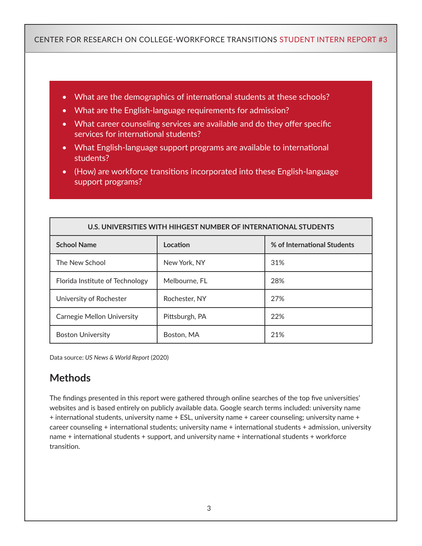- What are the demographics of international students at these schools?
- What are the English-language requirements for admission?
- What career counseling services are available and do they offer specific services for international students?
- What English-language support programs are available to international students?
- (How) are workforce transitions incorporated into these English-language support programs?

| U.S. UNIVERSITIES WITH HIHGEST NUMBER OF INTERNATIONAL STUDENTS |                |                             |  |  |
|-----------------------------------------------------------------|----------------|-----------------------------|--|--|
| <b>School Name</b>                                              | Location       | % of International Students |  |  |
| The New School                                                  | New York, NY   | 31%                         |  |  |
| Florida Institute of Technology                                 | Melbourne. FL  | 28%                         |  |  |
| University of Rochester                                         | Rochester, NY  | 27%                         |  |  |
| <b>Carnegie Mellon University</b>                               | Pittsburgh, PA | 22%                         |  |  |
| <b>Boston University</b>                                        | Boston, MA     | 21%                         |  |  |

Data source: *US News & World Report* (2020)

# **Methods**

The findings presented in this report were gathered through online searches of the top five universities' websites and is based entirely on publicly available data. Google search terms included: university name + international students, university name + ESL, university name + career counseling; university name + career counseling + international students; university name + international students + admission, university name + international students + support, and university name + international students + workforce transition.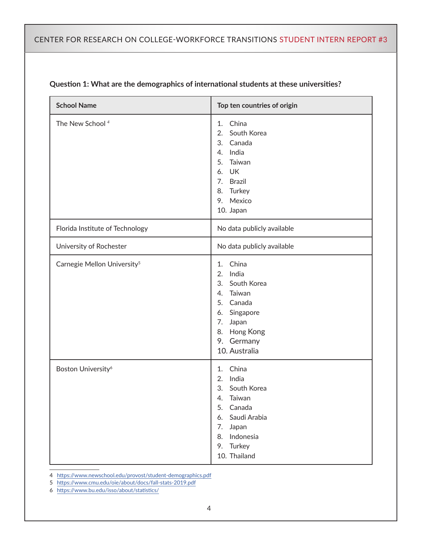| <b>School Name</b>                      | Top ten countries of origin                                                                                                                                         |
|-----------------------------------------|---------------------------------------------------------------------------------------------------------------------------------------------------------------------|
| The New School <sup>4</sup>             | China<br>1.<br>South Korea<br>2.<br>Canada<br>3.<br>India<br>4.<br>Taiwan<br>5.<br><b>UK</b><br>6.<br>7.<br><b>Brazil</b><br>Turkey<br>8.<br>9. Mexico<br>10. Japan |
| Florida Institute of Technology         | No data publicly available                                                                                                                                          |
| University of Rochester                 | No data publicly available                                                                                                                                          |
| Carnegie Mellon University <sup>5</sup> | China<br>1.<br>India<br>2.<br>3.<br>South Korea<br>Taiwan<br>4.<br>5.<br>Canada<br>Singapore<br>6.<br>7.<br>Japan<br>Hong Kong<br>8.<br>9. Germany<br>10. Australia |
| Boston University <sup>6</sup>          | China<br>1.<br>India<br>2.<br>South Korea<br>3.<br>Taiwan<br>4.<br>Canada<br>5.<br>Saudi Arabia<br>6.<br>7.<br>Japan<br>8. Indonesia<br>9. Turkey<br>10. Thailand   |

#### **Question 1: What are the demographics of international students at these universities?**

4 <https://www.newschool.edu/provost/student-demographics.pdf>

5 <https://www.cmu.edu/oie/about/docs/fall-stats-2019.pdf>

6 <https://www.bu.edu/isso/about/statistics/>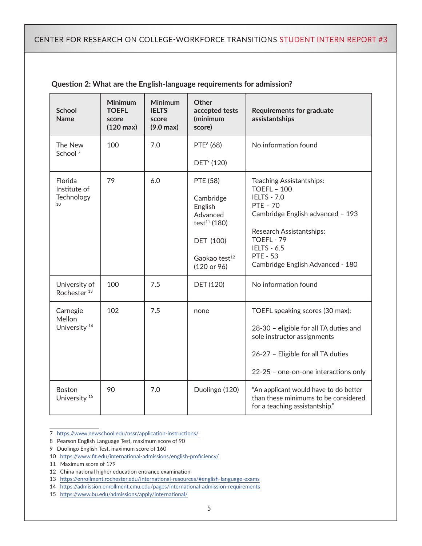| <b>School</b><br><b>Name</b>                   | <b>Minimum</b><br><b>TOEFL</b><br>score<br>$(120 \text{ max})$ | <b>Minimum</b><br><b>IELTS</b><br>score<br>$(9.0 \text{ max})$ | <b>Other</b><br>accepted tests<br>(minimum<br>score)                                                                              | <b>Requirements for graduate</b><br>assistantships                                                                                                                                                                                                 |
|------------------------------------------------|----------------------------------------------------------------|----------------------------------------------------------------|-----------------------------------------------------------------------------------------------------------------------------------|----------------------------------------------------------------------------------------------------------------------------------------------------------------------------------------------------------------------------------------------------|
| The New<br>School <sup>7</sup>                 | 100                                                            | 7.0                                                            | PTE <sup>8</sup> (68)<br>DET <sup>9</sup> (120)                                                                                   | No information found                                                                                                                                                                                                                               |
| Florida<br>Institute of<br>Technology<br>10    | 79                                                             | 6.0                                                            | PTE (58)<br>Cambridge<br>English<br>Advanced<br>test <sup>11</sup> (180)<br>DET (100)<br>Gaokao test <sup>12</sup><br>(120 or 96) | Teaching Assistantships:<br><b>TOEFL - 100</b><br><b>IELTS - 7.0</b><br><b>PTE - 70</b><br>Cambridge English advanced - 193<br>Research Assistantships:<br>TOEFL - 79<br><b>IELTS - 6.5</b><br><b>PTE - 53</b><br>Cambridge English Advanced - 180 |
| University of<br>Rochester <sup>13</sup>       | 100                                                            | 7.5                                                            | DET (120)                                                                                                                         | No information found                                                                                                                                                                                                                               |
| Carnegie<br>Mellon<br>University <sup>14</sup> | 102                                                            | 7.5                                                            | none                                                                                                                              | TOEFL speaking scores (30 max):<br>28-30 - eligible for all TA duties and<br>sole instructor assignments<br>26-27 - Eligible for all TA duties<br>22-25 - one-on-one interactions only                                                             |
| <b>Boston</b><br>University <sup>15</sup>      | 90                                                             | 7.0                                                            | Duolingo (120)                                                                                                                    | "An applicant would have to do better<br>than these minimums to be considered<br>for a teaching assistantship."                                                                                                                                    |

#### **Question 2: What are the English-language requirements for admission?**

<sup>7</sup> <https://www.newschool.edu/nssr/application-instructions/>

<sup>8</sup> Pearson English Language Test, maximum score of 90

<sup>9</sup> Duolingo English Test, maximum score of 160

<sup>10</sup> <https://www.fit.edu/international-admissions/english-proficiency/>

<sup>11</sup> Maximum score of 179

<sup>12</sup> China national higher education entrance examination

<sup>13</sup> https://enrollment.rochester.edu/international-resources/#english-language-exams

<sup>14</sup>  [https://admission.enrollment.cmu.edu/pages/international-admission-requiremen](https://admission.enrollment.cmu.edu/pages/international-admission-requirements)ts

<sup>15</sup> <https://www.bu.edu/admissions/apply/international/>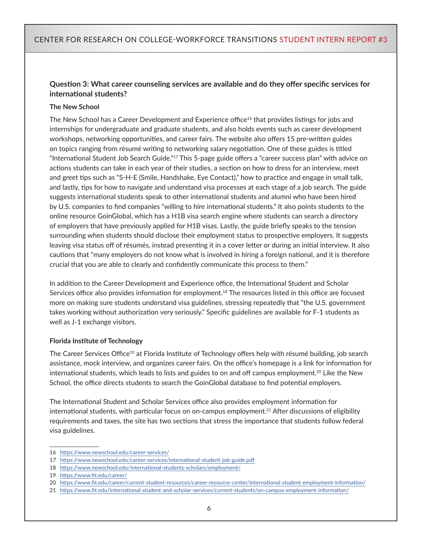#### **Question 3: What career counseling services are available and do they offer specific services for international students?**

#### **The New School**

The New School has a Career Development and Experience office<sup>16</sup> that provides listings for jobs and internships for undergraduate and graduate students, and also holds events such as career development workshops, networking opportunities, and career fairs. The website also offers 15 pre-written guides on topics ranging from résumé writing to networking salary negotiation. One of these guides is titled "International Student Job Search Guide."17 This 5-page guide offers a "career success plan" with advice on actions students can take in each year of their studies, a section on how to dress for an interview, meet and greet tips such as "S-H-E (Smile, Handshake, Eye Contact)," how to practice and engage in small talk, and lastly, tips for how to navigate and understand visa processes at each stage of a job search. The guide suggests international students speak to other international students and alumni who have been hired by U.S. companies to find companies "willing to hire international students." It also points students to the online resource GoinGlobal, which has a H1B visa search engine where students can search a directory of employers that have previously applied for H1B visas. Lastly, the guide briefly speaks to the tension surrounding when students should disclose their employment status to prospective employers. It suggests leaving visa status off of résumés, instead presenting it in a cover letter or during an initial interview. It also cautions that "many employers do not know what is involved in hiring a foreign national, and it is therefore crucial that you are able to clearly and confidently communicate this process to them."

In addition to the Career Development and Experience office, the International Student and Scholar Services office also provides information for employment.18 The resources listed in this office are focused more on making sure students understand visa guidelines, stressing repeatedly that "the U.S. government takes working without authorization very seriously." Specific guidelines are available for F-1 students as well as J-1 exchange visitors.

#### **Florida Institute of Technology**

The Career Services Office<sup>19</sup> at Florida Institute of Technology offers help with résumé building, job search assistance, mock interview, and organizes career fairs. On the office's homepage is a link for information for international students, which leads to lists and guides to on and off campus employment.<sup>20</sup> Like the New School, the office directs students to search the GoinGlobal database to find potential employers.

The International Student and Scholar Services office also provides employment information for international students, with particular focus on on-campus employment.<sup>21</sup> After discussions of eligibility requirements and taxes, the site has two sections that stress the importance that students follow federal visa guidelines.

<sup>16</sup> <https://www.newschool.edu/career-services/>

<sup>17</sup> <https://www.newschool.edu/career-services/international-student-job-guide.pdf>

<sup>18</sup> <https://www.newschool.edu/international-students-scholars/employment/>

<sup>19</sup> <https://www.fit.edu/career/>

<sup>20</sup> <https://www.fit.edu/career/current-student-resources/career-resource-center/international-student-employment-information/>

<sup>21</sup> <https://www.fit.edu/international-student-and-scholar-services/current-students/on-campus-employment-information/>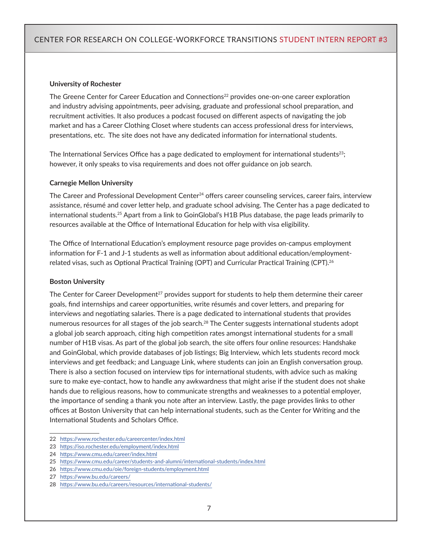#### **University of Rochester**

The Greene Center for Career Education and Connections<sup>22</sup> provides one-on-one career exploration and industry advising appointments, peer advising, graduate and professional school preparation, and recruitment activities. It also produces a podcast focused on different aspects of navigating the job market and has a Career Clothing Closet where students can access professional dress for interviews, presentations, etc. The site does not have any dedicated information for international students.

The International Services Office has a page dedicated to employment for international students<sup>23</sup>; however, it only speaks to visa requirements and does not offer guidance on job search.

#### **Carnegie Mellon University**

The Career and Professional Development Center<sup>24</sup> offers career counseling services, career fairs, interview assistance, résumé and cover letter help, and graduate school advising. The Center has a page dedicated to international students.25 Apart from a link to GoinGlobal's H1B Plus database, the page leads primarily to resources available at the Office of International Education for help with visa eligibility.

The Office of International Education's employment resource page provides on-campus employment information for F-1 and J-1 students as well as information about additional education/employmentrelated visas, such as Optional Practical Training (OPT) and Curricular Practical Training (CPT).26

#### **Boston University**

The Center for Career Development<sup>27</sup> provides support for students to help them determine their career goals, find internships and career opportunities, write résumés and cover letters, and preparing for interviews and negotiating salaries. There is a page dedicated to international students that provides numerous resources for all stages of the job search.28 The Center suggests international students adopt a global job search approach, citing high competition rates amongst international students for a small number of H1B visas. As part of the global job search, the site offers four online resources: Handshake and GoinGlobal, which provide databases of job listings; Big Interview, which lets students record mock interviews and get feedback; and Language Link, where students can join an English conversation group. There is also a section focused on interview tips for international students, with advice such as making sure to make eye-contact, how to handle any awkwardness that might arise if the student does not shake hands due to religious reasons, how to communicate strengths and weaknesses to a potential employer, the importance of sending a thank you note after an interview. Lastly, the page provides links to other offices at Boston University that can help international students, such as the Center for Writing and the International Students and Scholars Office.

<sup>22</sup> <https://www.rochester.edu/careercenter/index.html>

<sup>23</sup> <https://iso.rochester.edu/employment/index.html>

<sup>24</sup> <https://www.cmu.edu/career/index.html>

<sup>25</sup> <https://www.cmu.edu/career/students-and-alumni/international-students/index.html>

<sup>26</sup> <https://www.cmu.edu/oie/foreign-students/employment.html>

<sup>27</sup> <https://www.bu.edu/careers/>

<sup>28</sup> <https://www.bu.edu/careers/resources/international-students/>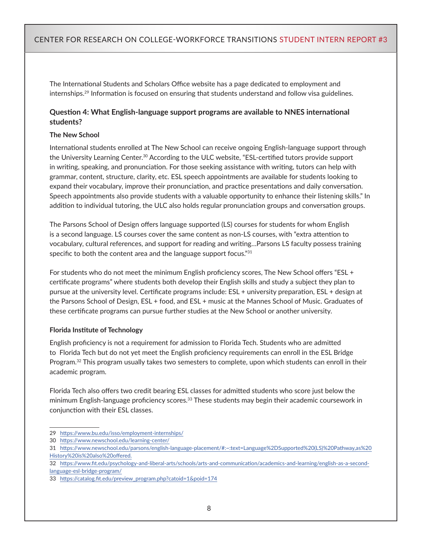The International Students and Scholars Office website has a page dedicated to employment and internships.29 Information is focused on ensuring that students understand and follow visa guidelines.

#### **Question 4: What English-language support programs are available to NNES international students?**

#### **The New School**

International students enrolled at The New School can receive ongoing English-language support through the University Learning Center.30 According to the ULC website, "ESL-certified tutors provide support in writing, speaking, and pronunciation. For those seeking assistance with writing, tutors can help with grammar, content, structure, clarity, etc. ESL speech appointments are available for students looking to expand their vocabulary, improve their pronunciation, and practice presentations and daily conversation. Speech appointments also provide students with a valuable opportunity to enhance their listening skills." In addition to individual tutoring, the ULC also holds regular pronunciation groups and conversation groups.

The Parsons School of Design offers language supported (LS) courses for students for whom English is a second language. LS courses cover the same content as non-LS courses, with "extra attention to vocabulary, cultural references, and support for reading and writing…Parsons LS faculty possess training specific to both the content area and the language support focus."31

For students who do not meet the minimum English proficiency scores, The New School offers "ESL + certificate programs" where students both develop their English skills and study a subject they plan to pursue at the university level. Certificate programs include: ESL + university preparation, ESL + design at the Parsons School of Design, ESL + food, and ESL + music at the Mannes School of Music. Graduates of these certificate programs can pursue further studies at the New School or another university.

#### **Florida Institute of Technology**

English proficiency is not a requirement for admission to Florida Tech. Students who are admitted to Florida Tech but do not yet meet the English proficiency requirements can enroll in the ESL Bridge Program.<sup>32</sup> This program usually takes two semesters to complete, upon which students can enroll in their academic program.

Florida Tech also offers two credit bearing ESL classes for admitted students who score just below the minimum English-language proficiency scores.<sup>33</sup> These students may begin their academic coursework in conjunction with their ESL classes.

<sup>29</sup> <https://www.bu.edu/isso/employment-internships/>

<sup>30</sup> <https://www.newschool.edu/learning-center/>

<sup>31</sup> https://www.newschool.edu/parsons/english-language-placement/#:~:text=Language%2DSupported%20(LS)%20Pathway,as%20 History%20is%20also%20offered.

<sup>32</sup>  [https://www.fit.edu/psychology-and-liberal-arts/schools/arts-and-communication/academics-and-learning/english-as-a-second](https://www.fit.edu/psychology-and-liberal-arts/schools/arts-and-communication/academics-and-learning/english-as-a-second-language-esl-bridge-program/)[language-esl-bridge-program/](https://www.fit.edu/psychology-and-liberal-arts/schools/arts-and-communication/academics-and-learning/english-as-a-second-language-esl-bridge-program/)

<sup>33</sup>  [https://catalog.fit.edu/preview\\_program.php?catoid=1&poid=174](https://catalog.fit.edu/preview_program.php?catoid=1&poid=174)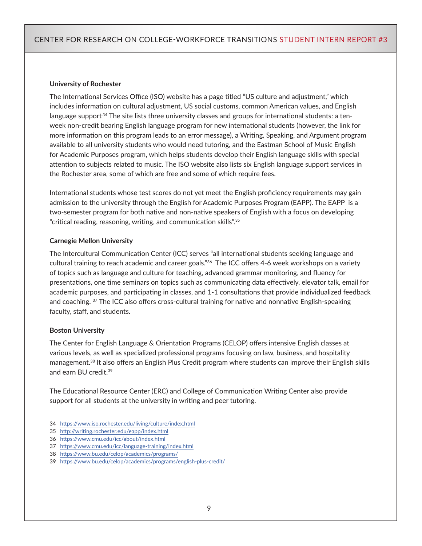#### **University of Rochester**

The International Services Office (ISO) website has a page titled "US culture and adjustment," which includes information on cultural adjustment, US social customs, common American values, and English language support<sup>34</sup> The site lists three university classes and groups for international students: a tenweek non-credit bearing English language program for new international students (however, the link for more information on this program leads to an error message), a Writing, Speaking, and Argument program available to all university students who would need tutoring, and the Eastman School of Music English for Academic Purposes program, which helps students develop their English language skills with special attention to subjects related to music. The ISO website also lists six English language support services in the Rochester area, some of which are free and some of which require fees.

International students whose test scores do not yet meet the English proficiency requirements may gain admission to the university through the English for Academic Purposes Program (EAPP). The EAPP is a two-semester program for both native and non-native speakers of English with a focus on developing "critical reading, reasoning, writing, and communication skills".<sup>35</sup>

#### **Carnegie Mellon University**

The Intercultural Communication Center (ICC) serves "all international students seeking language and cultural training to reach academic and career goals."<sup>36</sup> The ICC offers 4-6 week workshops on a variety of topics such as language and culture for teaching, advanced grammar monitoring, and fluency for presentations, one time seminars on topics such as communicating data effectively, elevator talk, email for academic purposes, and participating in classes, and 1-1 consultations that provide individualized feedback and coaching. 37 The ICC also offers cross-cultural training for native and nonnative English-speaking faculty, staff, and students.

#### **Boston University**

The Center for English Language & Orientation Programs (CELOP) offers intensive English classes at various levels, as well as specialized professional programs focusing on law, business, and hospitality management.38 It also offers an English Plus Credit program where students can improve their English skills and earn BU credit.39

The Educational Resource Center (ERC) and College of Communication Writing Center also provide support for all students at the university in writing and peer tutoring.

<sup>34</sup> <https://www.iso.rochester.edu/living/culture/index.html>

<sup>35</sup> <http://writing.rochester.edu/eapp/index.html>

<sup>36</sup> <https://www.cmu.edu/icc/about/index.html>

<sup>37</sup> <https://www.cmu.edu/icc/language-training/index.html>

<sup>38</sup> <https://www.bu.edu/celop/academics/programs/>

<sup>39</sup> <https://www.bu.edu/celop/academics/programs/english-plus-credit/>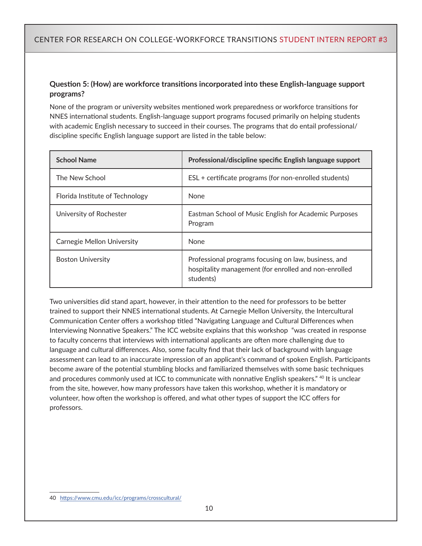#### **Question 5: (How) are workforce transitions incorporated into these English-language support programs?**

None of the program or university websites mentioned work preparedness or workforce transitions for NNES international students. English-language support programs focused primarily on helping students with academic English necessary to succeed in their courses. The programs that do entail professional/ discipline specific English language support are listed in the table below:

| <b>School Name</b>              | Professional/discipline specific English language support                                                                  |  |
|---------------------------------|----------------------------------------------------------------------------------------------------------------------------|--|
| The New School                  | ESL + certificate programs (for non-enrolled students)                                                                     |  |
| Florida Institute of Technology | <b>None</b>                                                                                                                |  |
| University of Rochester         | Eastman School of Music English for Academic Purposes<br>Program                                                           |  |
| Carnegie Mellon University      | <b>None</b>                                                                                                                |  |
| <b>Boston University</b>        | Professional programs focusing on law, business, and<br>hospitality management (for enrolled and non-enrolled<br>students) |  |

Two universities did stand apart, however, in their attention to the need for professors to be better trained to support their NNES international students. At Carnegie Mellon University, the Intercultural Communication Center offers a workshop titled "Navigating Language and Cultural Differences when Interviewing Nonnative Speakers." The ICC website explains that this workshop "was created in response to faculty concerns that interviews with international applicants are often more challenging due to language and cultural differences. Also, some faculty find that their lack of background with language assessment can lead to an inaccurate impression of an applicant's command of spoken English. Participants become aware of the potential stumbling blocks and familiarized themselves with some basic techniques and procedures commonly used at ICC to communicate with nonnative English speakers." <sup>40</sup> It is unclear from the site, however, how many professors have taken this workshop, whether it is mandatory or volunteer, how often the workshop is offered, and what other types of support the ICC offers for professors.

<sup>40</sup> <https://www.cmu.edu/icc/programs/crosscultural/>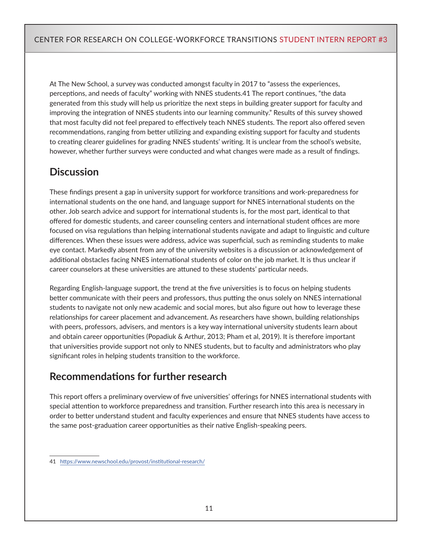At The New School, a survey was conducted amongst faculty in 2017 to "assess the experiences, perceptions, and needs of faculty" working with NNES students.41 The report continues, "the data generated from this study will help us prioritize the next steps in building greater support for faculty and improving the integration of NNES students into our learning community." Results of this survey showed that most faculty did not feel prepared to effectively teach NNES students. The report also offered seven recommendations, ranging from better utilizing and expanding existing support for faculty and students to creating clearer guidelines for grading NNES students' writing. It is unclear from the school's website, however, whether further surveys were conducted and what changes were made as a result of findings.

# **Discussion**

These findings present a gap in university support for workforce transitions and work-preparedness for international students on the one hand, and language support for NNES international students on the other. Job search advice and support for international students is, for the most part, identical to that offered for domestic students, and career counseling centers and international student offices are more focused on visa regulations than helping international students navigate and adapt to linguistic and culture differences. When these issues were address, advice was superficial, such as reminding students to make eye contact. Markedly absent from any of the university websites is a discussion or acknowledgement of additional obstacles facing NNES international students of color on the job market. It is thus unclear if career counselors at these universities are attuned to these students' particular needs.

Regarding English-language support, the trend at the five universities is to focus on helping students better communicate with their peers and professors, thus putting the onus solely on NNES international students to navigate not only new academic and social mores, but also figure out how to leverage these relationships for career placement and advancement. As researchers have shown, building relationships with peers, professors, advisers, and mentors is a key way international university students learn about and obtain career opportunities (Popadiuk & Arthur, 2013; Pham et al, 2019). It is therefore important that universities provide support not only to NNES students, but to faculty and administrators who play significant roles in helping students transition to the workforce.

# **Recommendations for further research**

This report offers a preliminary overview of five universities' offerings for NNES international students with special attention to workforce preparedness and transition. Further research into this area is necessary in order to better understand student and faculty experiences and ensure that NNES students have access to the same post-graduation career opportunities as their native English-speaking peers.

<sup>41</sup> <https://www.newschool.edu/provost/institutional-research/>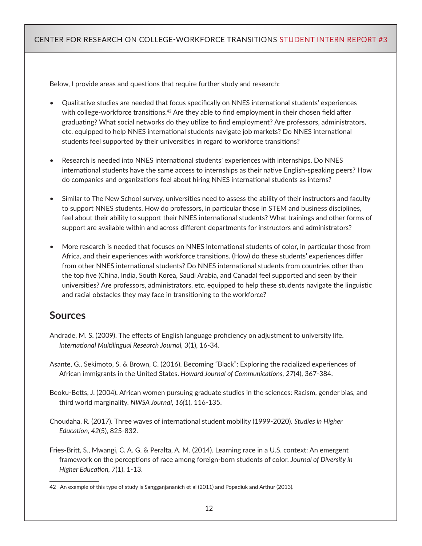Below, I provide areas and questions that require further study and research:

- Qualitative studies are needed that focus specifically on NNES international students' experiences with college-workforce transitions.<sup>42</sup> Are they able to find employment in their chosen field after graduating? What social networks do they utilize to find employment? Are professors, administrators, etc. equipped to help NNES international students navigate job markets? Do NNES international students feel supported by their universities in regard to workforce transitions?
- Research is needed into NNES international students' experiences with internships. Do NNES international students have the same access to internships as their native English-speaking peers? How do companies and organizations feel about hiring NNES international students as interns?
- Similar to The New School survey, universities need to assess the ability of their instructors and faculty to support NNES students. How do professors, in particular those in STEM and business disciplines, feel about their ability to support their NNES international students? What trainings and other forms of support are available within and across different departments for instructors and administrators?
- More research is needed that focuses on NNES international students of color, in particular those from Africa, and their experiences with workforce transitions. (How) do these students' experiences differ from other NNES international students? Do NNES international students from countries other than the top five (China, India, South Korea, Saudi Arabia, and Canada) feel supported and seen by their universities? Are professors, administrators, etc. equipped to help these students navigate the linguistic and racial obstacles they may face in transitioning to the workforce?

## **Sources**

- Andrade, M. S. (2009). The effects of English language proficiency on adjustment to university life. *International Multilingual Research Journal, 3*(1), 16-34.
- Asante, G., Sekimoto, S. & Brown, C. (2016). Becoming "Black": Exploring the racialized experiences of African immigrants in the United States. *Howard Journal of Communications, 27*(4), 367-384.
- Beoku-Betts, J. (2004). African women pursuing graduate studies in the sciences: Racism, gender bias, and third world marginality. *NWSA Journal, 16(*1), 116-135.
- Choudaha, R. (2017). Three waves of international student mobility (1999-2020). *Studies in Higher Education, 42*(5), 825-832.
- Fries-Britt, S., Mwangi, C. A. G. & Peralta, A. M. (2014). Learning race in a U.S. context: An emergent framework on the perceptions of race among foreign-born students of color. J*ournal of Diversity in Higher Education, 7*(1), 1-13.

<sup>42</sup> An example of this type of study is Sangganjananich et al (2011) and Popadiuk and Arthur (2013).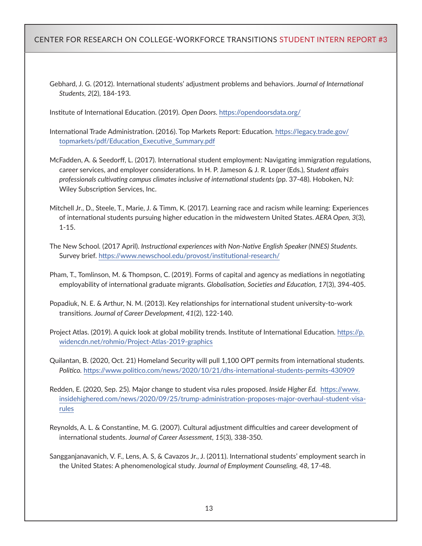Gebhard, J. G. (2012). International students' adjustment problems and behaviors. *Journal of International Students, 2*(2), 184-193.

Institute of International Education. (2019). *Open Doors.* <https://opendoorsdata.org/>

- International Trade Administration. (2016). Top Markets Report: Education. [https://legacy.trade.gov/](https://legacy.trade.gov/topmarkets/pdf/Education_Executive_Summary.pdf) [topmarkets/pdf/Education\\_Executive\\_Summary.pdf](https://legacy.trade.gov/topmarkets/pdf/Education_Executive_Summary.pdf)
- McFadden, A. & Seedorff, L. (2017). International student employment: Navigating immigration regulations, career services, and employer considerations. In H. P. Jameson & J. R. Loper (Eds.), S*tudent affairs professionals cultivating campus climates inclusive of international students* (pp. 37-48). Hoboken, NJ: Wiley Subscription Services, Inc.
- Mitchell Jr., D., Steele, T., Marie, J. & Timm, K. (2017). Learning race and racism while learning: Experiences of international students pursuing higher education in the midwestern United States. *AERA Open, 3*(3), 1-15.
- The New School. (2017 April). *Instructional experiences with Non-Native English Speaker (NNES) Students.*  Survey brief.<https://www.newschool.edu/provost/institutional-research/>
- Pham, T., Tomlinson, M. & Thompson, C. (2019). Forms of capital and agency as mediations in negotiating employability of international graduate migrants. *Globalisation, Societies and Education, 17*(3), 394-405.
- Popadiuk, N. E. & Arthur, N. M. (2013). Key relationships for international student university-to-work transitions. *Journal of Career Development, 41*(2), 122-140.
- Project Atlas. (2019). A quick look at global mobility trends. Institute of International Education. [https://p.](https://p.widencdn.net/rohmio/Project-Atlas-2019-graphics) [widencdn.net/rohmio/Project-Atlas-2019-graphics](https://p.widencdn.net/rohmio/Project-Atlas-2019-graphics)

Quilantan, B. (2020, Oct. 21) Homeland Security will pull 1,100 OPT permits from international students. *Politico.* <https://www.politico.com/news/2020/10/21/dhs-international-students-permits-430909>

- Redden, E. (2020, Sep. 25). Major change to student visa rules proposed. *Inside Higher Ed.* [https://www.](https://www.insidehighered.com/news/2020/09/25/trump-administration-proposes-major-overhaul-student-visa-rules) [insidehighered.com/news/2020/09/25/trump-administration-proposes-major-overhaul-student-visa](https://www.insidehighered.com/news/2020/09/25/trump-administration-proposes-major-overhaul-student-visa-rules)[rules](https://www.insidehighered.com/news/2020/09/25/trump-administration-proposes-major-overhaul-student-visa-rules)
- Reynolds, A. L. & Constantine, M. G. (2007). Cultural adjustment difficulties and career development of international students. *Journal of Career Assessment, 15*(3), 338-350.
- Sangganjanavanich, V. F., Lens, A. S, & Cavazos Jr., J. (2011). International students' employment search in the United States: A phenomenological study. *Journal of Employment Counseling, 48,* 17-48.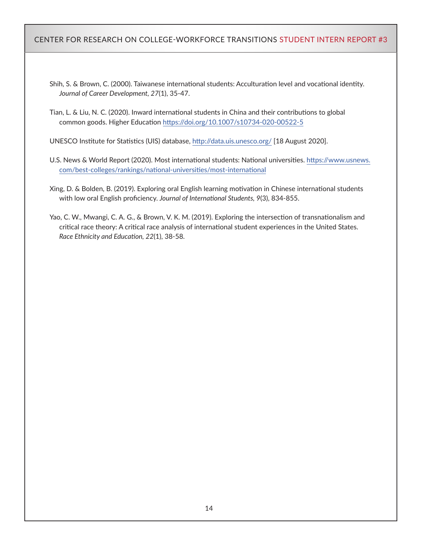Shih, S. & Brown, C. (2000). Taiwanese international students: Acculturation level and vocational identity. *Journal of Career Development, 27*(1), 35-47.

Tian, L. & Liu, N. C. (2020). Inward international students in China and their contributions to global common goods. Higher Education<https://doi.org/10.1007/s10734-020-00522-5>

UNESCO Institute for Statistics (UIS) database,<http://data.uis.unesco.org/> [18 August 2020].

- U.S. News & World Report (2020). Most international students: National universities. [https://www.usnews.](https://www.usnews.com/best-colleges/rankings/national-universities/most-international) [com/best-colleges/rankings/national-universities/most-international](https://www.usnews.com/best-colleges/rankings/national-universities/most-international)
- Xing, D. & Bolden, B. (2019). Exploring oral English learning motivation in Chinese international students with low oral English proficiency. *Journal of International Students, 9*(3), 834-855.
- Yao, C. W., Mwangi, C. A. G., & Brown, V. K. M. (2019). Exploring the intersection of transnationalism and critical race theory: A critical race analysis of international student experiences in the United States. *Race Ethnicity and Education, 22*(1), 38-58.